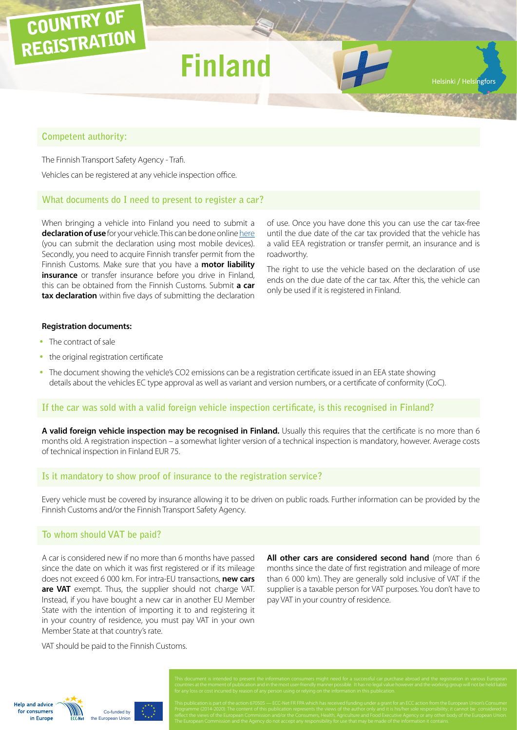## COUNTRY OF REGISTRATION

# **Finlan**

#### **Competent authority:**

The Finnish Transport Safety Agency - Trafi.

Vehicles can be registered at any vehicle inspection office.

#### **What documents do I need to present to register a car?**

When bringing a vehicle into Finland you need to submit a **declaration of use** for your vehicle. This can be done online [here](http://www.tulli.fi/en/persons/car_tax/declaration_of_use/index.jsp) (you can submit the declaration using most mobile devices). Secondly, you need to acquire Finnish transfer permit from the Finnish Customs. Make sure that you have a **motor liability insurance** or transfer insurance before you drive in Finland, this can be obtained from the Finnish Customs. Submit **a car tax declaration** within five days of submitting the declaration of use. Once you have done this you can use the car tax-free until the due date of the car tax provided that the vehicle has a valid EEA registration or transfer permit, an insurance and is roadworthy.

Helsinki / Helsingfors

The right to use the vehicle based on the declaration of use ends on the due date of the car tax. After this, the vehicle can only be used if it is registered in Finland.

#### **Registration documents:**

- The contract of sale
- the original registration certificate
- The document showing the vehicle's CO2 emissions can be a registration certificate issued in an EEA state showing details about the vehicles EC type approval as well as variant and version numbers, or a certificate of conformity (CoC).

#### **If the car was sold with a valid foreign vehicle inspection certificate, is this recognised in Finland?**

**A valid foreign vehicle inspection may be recognised in Finland.** Usually this requires that the certificate is no more than 6 months old. A registration inspection – a somewhat lighter version of a technical inspection is mandatory, however. Average costs of technical inspection in Finland EUR 75.

#### **Is it mandatory to show proof of insurance to the registration service?**

Every vehicle must be covered by insurance allowing it to be driven on public roads. Further information can be provided by the Finnish Customs and/or the Finnish Transport Safety Agency.

#### **To whom should VAT be paid?**

A car is considered new if no more than 6 months have passed since the date on which it was first registered or if its mileage does not exceed 6 000 km. For intra-EU transactions, **new cars are VAT** exempt. Thus, the supplier should not charge VAT. Instead, if you have bought a new car in another EU Member State with the intention of importing it to and registering it in your country of residence, you must pay VAT in your own Member State at that country's rate.

VAT should be paid to the Finnish Customs.

Co-funded by uropean Union

**Help and advice** for consumers in Europe

**All other cars are considered second hand** (more than 6 months since the date of first registration and mileage of more than 6 000 km). They are generally sold inclusive of VAT if the supplier is a taxable person for VAT purposes. You don't have to pay VAT in your country of residence.